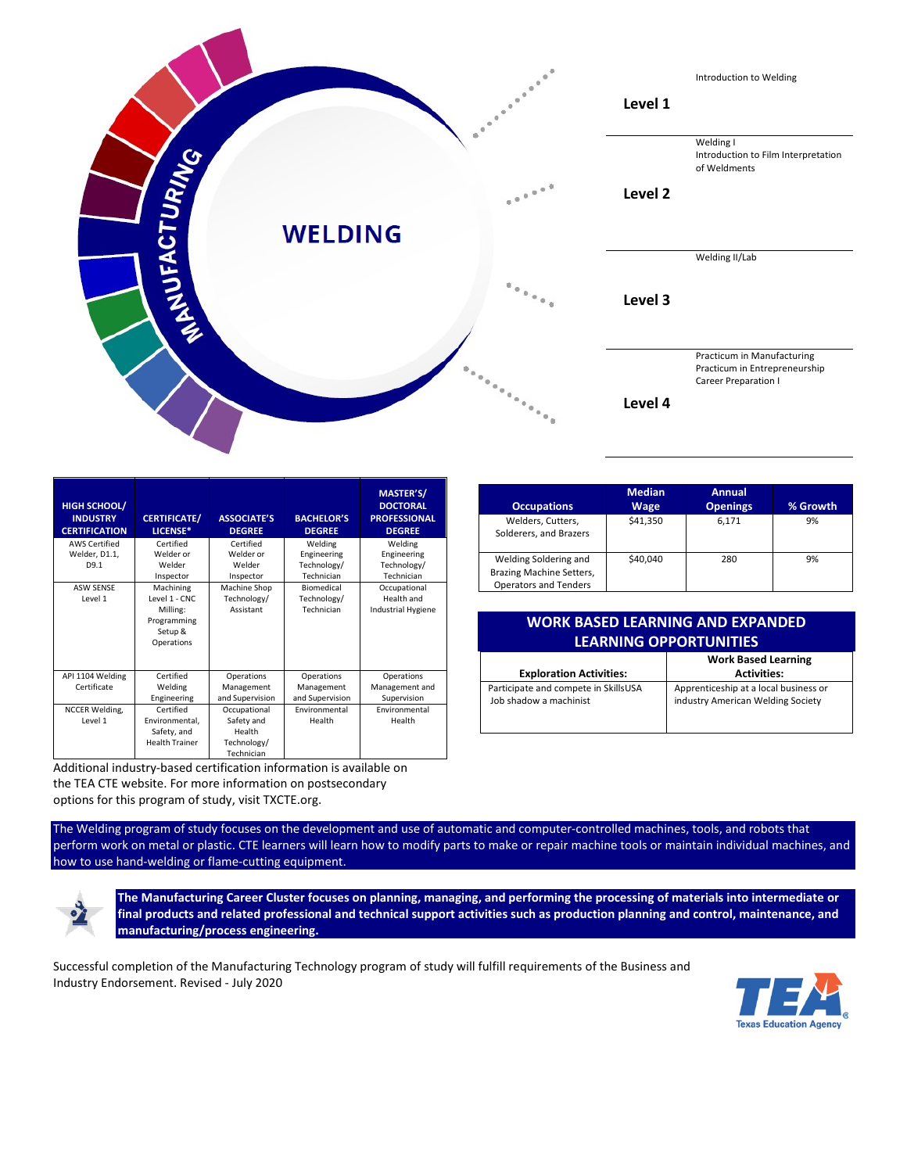

| <b>HIGH SCHOOL/</b><br><b>INDUSTRY</b><br><b>CERTIFICATION</b> | <b>CERTIFICATE/</b><br>LICENSE*                                                | <b>ASSOCIATE'S</b><br><b>DEGREE</b>      | <b>BACHELOR'S</b><br><b>DEGREE</b>      | <b>MASTER'S/</b><br><b>DOCTORAL</b><br><b>PROFESSIONAL</b><br><b>DEGREE</b> |
|----------------------------------------------------------------|--------------------------------------------------------------------------------|------------------------------------------|-----------------------------------------|-----------------------------------------------------------------------------|
| <b>AWS Certified</b>                                           | Certified                                                                      | Certified                                | Welding                                 | Welding                                                                     |
| Welder, D1.1,                                                  | Welder or                                                                      | Welder or                                | Engineering                             | Engineering                                                                 |
| D9.1                                                           | Welder<br>Inspector                                                            | Welder<br>Inspector                      | Technology/<br>Technician               | Technology/<br>Technician                                                   |
| <b>ASW SENSE</b><br>Level 1                                    | Machining<br>Level 1 - CNC<br>Milling:<br>Programming<br>Setup &<br>Operations | Machine Shop<br>Technology/<br>Assistant | Biomedical<br>Technology/<br>Technician | Occupational<br>Health and<br><b>Industrial Hygiene</b>                     |
| API 1104 Welding                                               | Certified                                                                      | Operations                               | Operations                              | Operations                                                                  |
| Certificate                                                    | Welding                                                                        | Management                               | Management                              | Management and                                                              |
|                                                                | Engineering                                                                    | and Supervision                          | and Supervision                         | Supervision                                                                 |
| <b>NCCER Welding,</b>                                          | Certified                                                                      | Occupational                             | Environmental                           | Environmental                                                               |
| Level 1                                                        | Environmental.                                                                 | Safety and                               | Health                                  | Health                                                                      |
|                                                                | Safety, and                                                                    | Health                                   |                                         |                                                                             |
|                                                                | <b>Health Trainer</b>                                                          | Technology/                              |                                         |                                                                             |
|                                                                |                                                                                | Technician                               |                                         |                                                                             |

Additional industry-based certification information is available on the TEA CTE website. For more information on postsecondary options for this program of study, visit TXCTE.org.

The Welding program of study focuses on the development and use of automatic and computer-controlled machines, tools, and robots that perform work on metal or plastic. CTE learners will learn how to modify parts to make or repair machine tools or maintain individual machines, and how to use hand-welding or flame-cutting equipment.



**The Manufacturing Career Cluster focuses on planning, managing, and performing the processing of materials into intermediate or final products and related professional and technical support activities such as production planning and control, maintenance, and manufacturing/process engineering.**

Successful completion of the Manufacturing Technology program of study will fulfill requirements of the Business and Industry Endorsement. Revised - July 2020



| <b>Occupations</b>                                                                | <b>Median</b><br>Wage | Annual<br><b>Openings</b> | % Growth |
|-----------------------------------------------------------------------------------|-----------------------|---------------------------|----------|
| Welders, Cutters,<br>Solderers, and Brazers                                       | \$41,350              | 6.171                     | 9%       |
| Welding Soldering and<br>Brazing Machine Setters,<br><b>Operators and Tenders</b> | \$40.040              | 280                       | 9%       |

| perators and Tenders                    |                               |  |  |  |
|-----------------------------------------|-------------------------------|--|--|--|
|                                         |                               |  |  |  |
| <b>WORK BASED LEARNING AND EXPANDED</b> |                               |  |  |  |
|                                         |                               |  |  |  |
|                                         | <b>LEARNING OPPORTUNITIES</b> |  |  |  |

| <b>Exploration Activities:</b>       | <b>Work Based Learning</b><br><b>Activities:</b> |
|--------------------------------------|--------------------------------------------------|
| Participate and compete in SkillsUSA | Apprenticeship at a local business or            |
| Job shadow a machinist               | industry American Welding Society                |